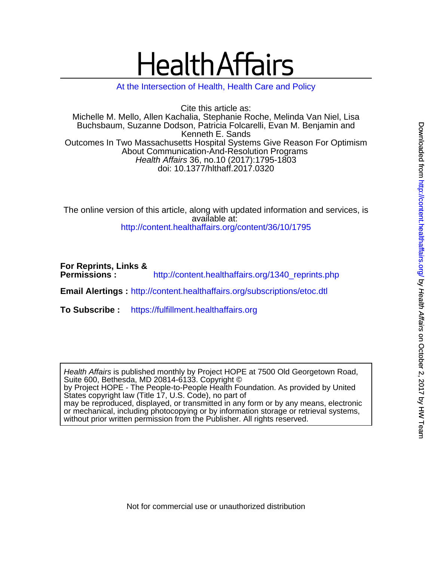[At the Intersection of Health, Health Care and Policy](http://www.healthaffairs.org)

**Health Affairs** 

doi: 10.1377/hlthaff.2017.0320 Health Affairs 36, no.10 (2017):1795-1803 About Communication-And-Resolution Programs Outcomes In Two Massachusetts Hospital Systems Give Reason For Optimism Kenneth E. Sands Buchsbaum, Suzanne Dodson, Patricia Folcarelli, Evan M. Benjamin and Michelle M. Mello, Allen Kachalia, Stephanie Roche, Melinda Van Niel, Lisa Cite this article as:

<http://content.healthaffairs.org/content/36/10/1795> available at: The online version of this article, along with updated information and services, is

**Permissions : For Reprints, Links &** [http://content.healthaffairs.org/1340\\_reprints.php](http://content.healthaffairs.org/1340_reprints.php)

**Email Alertings :** [http://content.healthaffairs.org/subscriptions/etoc.dtl](https://fulfillment.healthaffairs.org)

**To Subscribe :** <https://fulfillment.healthaffairs.org>

without prior written permission from the Publisher. All rights reserved. or mechanical, including photocopying or by information storage or retrieval systems, may be reproduced, displayed, or transmitted in any form or by any means, electronic States copyright law (Title 17, U.S. Code), no part of by Project HOPE - The People-to-People Health Foundation. As provided by United Suite 600, Bethesda, MD 20814-6133. Copyright © Health Affairs is published monthly by Project HOPE at 7500 Old Georgetown Road,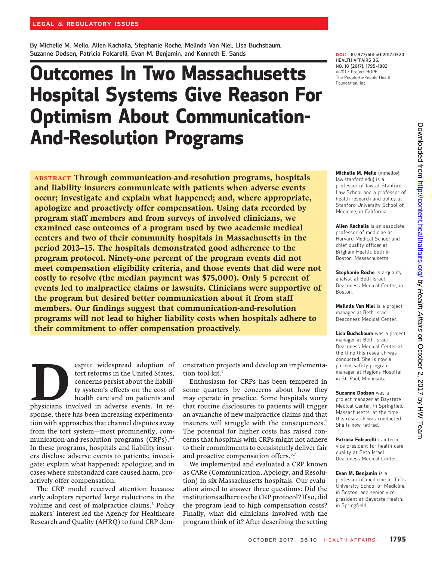By Michelle M. Mello, Allen Kachalia, Stephanie Roche, Melinda Van Niel, Lisa Buchsbaum, Suzanne Dodson, Patricia Folcarelli, Evan M. Benjamin, and Kenneth E. Sands

# Outcomes In Two Massachusetts Hospital Systems Give Reason For Optimism About Communication-And-Resolution Programs

ABSTRACT Through communication-and-resolution programs, hospitals and liability insurers communicate with patients when adverse events occur; investigate and explain what happened; and, where appropriate, apologize and proactively offer compensation. Using data recorded by program staff members and from surveys of involved clinicians, we examined case outcomes of a program used by two academic medical centers and two of their community hospitals in Massachusetts in the period 2013–15. The hospitals demonstrated good adherence to the program protocol. Ninety-one percent of the program events did not meet compensation eligibility criteria, and those events that did were not costly to resolve (the median payment was \$75,000). Only 5 percent of events led to malpractice claims or lawsuits. Clinicians were supportive of the program but desired better communication about it from staff members. Our findings suggest that communication-and-resolution programs will not lead to higher liability costs when hospitals adhere to their commitment to offer compensation proactively.

espite widespread adoption of<br>tort reforms in the United States,<br>concerns persist about the liabili-<br>ty system's effects on the cost of<br>health care and on patients and<br>physicians involved in adverse events. In retort reforms in the United States, concerns persist about the liability system's effects on the cost of health care and on patients and sponse, there has been increasing experimentation with approaches that channel disputes away from the tort system—most prominently, communication-and-resolution programs  $(CRPs).<sup>1,2</sup>$ In these programs, hospitals and liability insurers disclose adverse events to patients; investigate; explain what happened; apologize; and in cases where substandard care caused harm, proactively offer compensation.

The CRP model received attention because early adopters reported large reductions in the volume and cost of malpractice claims.<sup>3</sup> Policy makers' interest led the Agency for Healthcare Research and Quality (AHRQ) to fund CRP demonstration projects and develop an implementation tool kit.<sup>4</sup>

Enthusiasm for CRPs has been tempered in some quarters by concerns about how they may operate in practice. Some hospitals worry that routine disclosures to patients will trigger an avalanche of new malpractice claims and that insurers will struggle with the consequences.<sup>5</sup> The potential for higher costs has raised concerns that hospitals with CRPs might not adhere to their commitments to consistently deliver fair and proactive compensation offers.<sup>6,7</sup>

We implemented and evaluated a CRP known as CARe (Communication, Apology, and Resolution) in six Massachusetts hospitals. Our evaluation aimed to answer three questions: Did the institutions adhere to the CRP protocol? If so, did the program lead to high compensation costs? Finally, what did clinicians involved with the program think of it? After describing the setting doi: 10.1377/hlthaff.2017.0320 HEALTH AFFAIRS 36, NO. 10 (2017): 1795–<sup>1803</sup> ©2017 Project HOPE— The People-to-People Health Foundation, Inc.

Michelle M. Mello (mmello@ law.stanford.edu) is a professor of law at Stanford Law School and a professor of health research and policy at Stanford University School of Medicine, in California.

Allen Kachalia is an associate professor of medicine at Harvard Medical School and chief quality officer at Brigham Health, both in Boston, Massachusetts.

Stephanie Roche is a quality analyst at Beth Israel Deaconess Medical Center, in Boston.

Melinda Van Niel is a project manager at Beth Israel Deaconess Medical Center.

Lisa Buchsbaum was a project manager at Beth Israel Deaconess Medical Center at the time this research was conducted. She is now a patient safety program manager at Regions Hospital, in St. Paul, Minnesota.

Suzanne Dodson was a project manager at Baystate Medical Center, in Springfield, Massachusetts, at the time this research was conducted. She is now retired.

Patricia Folcarelli is interim vice president for health care quality at Beth Israel Deaconess Medical Center.

Evan M. Benjamin is a professor of medicine at Tufts University School of Medicine, in Boston, and senior vice president at Baystate Health, in Springfield.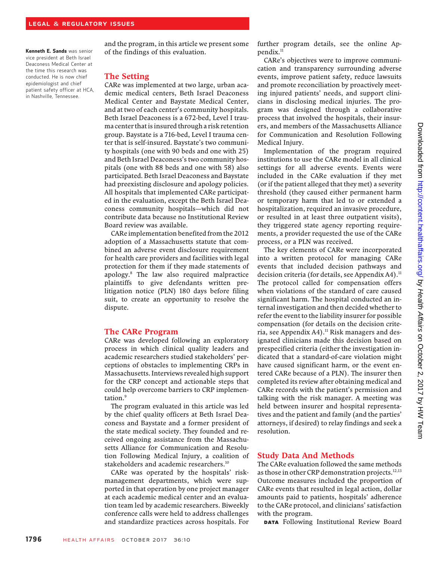Kenneth E. Sands was senior vice president at Beth Israel Deaconess Medical Center at the time this research was conducted. He is now chief epidemiologist and chief patient safety officer at HCA, in Nashville, Tennessee.

and the program, in this article we present some of the findings of this evaluation.

#### The Setting

CARe was implemented at two large, urban academic medical centers, Beth Israel Deaconess Medical Center and Baystate Medical Center, and at two of each center's community hospitals. Beth Israel Deaconess is a 672-bed, Level I trauma center that is insured through a risk retention group. Baystate is a 716-bed, Level I trauma center that is self-insured. Baystate's two community hospitals (one with 90 beds and one with 25) and Beth Israel Deaconess's two community hospitals (one with 88 beds and one with 58) also participated. Beth Israel Deaconess and Baystate had preexisting disclosure and apology policies. All hospitals that implemented CARe participated in the evaluation, except the Beth Israel Deaconess community hospitals—which did not contribute data because no Institutional Review Board review was available.

CARe implementation benefited from the 2012 adoption of a Massachusetts statute that combined an adverse event disclosure requirement for health care providers and facilities with legal protection for them if they made statements of apology.8 The law also required malpractice plaintiffs to give defendants written prelitigation notice (PLN) 180 days before filing suit, to create an opportunity to resolve the dispute.

#### The CARe Program

CARe was developed following an exploratory process in which clinical quality leaders and academic researchers studied stakeholders' perceptions of obstacles to implementing CRPs in Massachusetts. Interviews revealed high support for the CRP concept and actionable steps that could help overcome barriers to CRP implementation.9

The program evaluated in this article was led by the chief quality officers at Beth Israel Deaconess and Baystate and a former president of the state medical society. They founded and received ongoing assistance from the Massachusetts Alliance for Communication and Resolution Following Medical Injury, a coalition of stakeholders and academic researchers.<sup>10</sup>

CARe was operated by the hospitals' riskmanagement departments, which were supported in that operation by one project manager at each academic medical center and an evaluation team led by academic researchers. Biweekly conference calls were held to address challenges and standardize practices across hospitals. For further program details, see the online Appendix.<sup>11</sup>

CARe's objectives were to improve communication and transparency surrounding adverse events, improve patient safety, reduce lawsuits and promote reconciliation by proactively meeting injured patients' needs, and support clinicians in disclosing medical injuries. The program was designed through a collaborative process that involved the hospitals, their insurers, and members of the Massachusetts Alliance for Communication and Resolution Following Medical Injury.

Implementation of the program required institutions to use the CARe model in all clinical settings for all adverse events. Events were included in the CARe evaluation if they met (or if the patient alleged that they met) a severity threshold (they caused either permanent harm or temporary harm that led to or extended a hospitalization, required an invasive procedure, or resulted in at least three outpatient visits), they triggered state agency reporting requirements, a provider requested the use of the CARe process, or a PLN was received.

The key elements of CARe were incorporated into a written protocol for managing CARe events that included decision pathways and decision criteria (for details, see Appendix A4).<sup>11</sup> The protocol called for compensation offers when violations of the standard of care caused significant harm. The hospital conducted an internal investigation and then decided whether to refer the event to the liability insurer for possible compensation (for details on the decision criteria, see Appendix A4).<sup>11</sup> Risk managers and designated clinicians made this decision based on prespecified criteria (either the investigation indicated that a standard-of-care violation might have caused significant harm, or the event entered CARe because of a PLN). The insurer then completed its review after obtaining medical and CARe records with the patient's permission and talking with the risk manager. A meeting was held between insurer and hospital representatives and the patient and family (and the parties' attorneys, if desired) to relay findings and seek a resolution.

#### Study Data And Methods

The CARe evaluation followed the same methods as those in other CRP demonstration projects.<sup>12,13</sup> Outcome measures included the proportion of CARe events that resulted in legal action, dollar amounts paid to patients, hospitals' adherence to the CARe protocol, and clinicians' satisfaction with the program.

DATA Following Institutional Review Board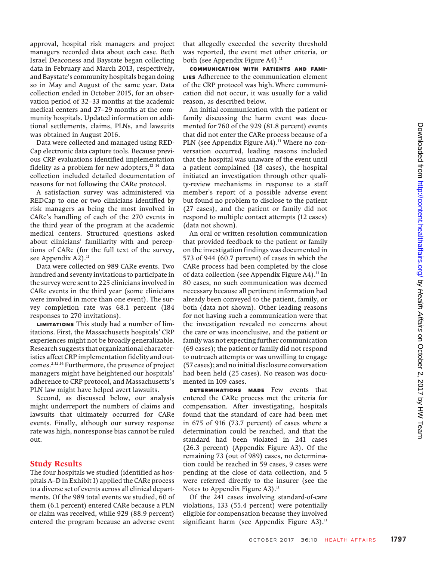approval, hospital risk managers and project managers recorded data about each case. Beth Israel Deaconess and Baystate began collecting data in February and March 2013, respectively, and Baystate's community hospitals began doing so in May and August of the same year. Data collection ended in October 2015, for an observation period of 32–33 months at the academic medical centers and 27–29 months at the community hospitals. Updated information on additional settlements, claims, PLNs, and lawsuits was obtained in August 2016.

Data were collected and managed using RED-Cap electronic data capture tools. Because previous CRP evaluations identified implementation fidelity as a problem for new adopters, $12-14$  data collection included detailed documentation of reasons for not following the CARe protocol.

A satisfaction survey was administered via REDCap to one or two clinicians identified by risk managers as being the most involved in CARe's handling of each of the 270 events in the third year of the program at the academic medical centers. Structured questions asked about clinicians' familiarity with and perceptions of CARe (for the full text of the survey, see Appendix A2).<sup>11</sup>

Data were collected on 989 CARe events. Two hundred and seventy invitations to participate in the survey were sent to 225 clinicians involved in CARe events in the third year (some clinicians were involved in more than one event). The survey completion rate was 68.1 percent (184 responses to 270 invitations).

Limitations This study had a number of limitations. First, the Massachusetts hospitals' CRP experiences might not be broadly generalizable. Research suggests that organizational characteristics affect CRP implementation fidelity and outcomes.2,12,14 Furthermore, the presence of project managers might have heightened our hospitals' adherence to CRP protocol, and Massachusetts's PLN law might have helped avert lawsuits.

Second, as discussed below, our analysis might underreport the numbers of claims and lawsuits that ultimately occurred for CARe events. Finally, although our survey response rate was high, nonresponse bias cannot be ruled out.

#### Study Results

The four hospitals we studied (identified as hospitals A–D in Exhibit 1) applied the CARe process to a diverse set of events across all clinical departments. Of the 989 total events we studied, 60 of them (6.1 percent) entered CARe because a PLN or claim was received, while 929 (88.9 percent) entered the program because an adverse event that allegedly exceeded the severity threshold was reported, the event met other criteria, or both (see Appendix Figure A4). $<sup>11</sup>$ </sup>

Communication With Patients And Fami-LIES Adherence to the communication element of the CRP protocol was high. Where communication did not occur, it was usually for a valid reason, as described below.

An initial communication with the patient or family discussing the harm event was documented for 760 of the 929 (81.8 percent) events that did not enter the CARe process because of a PLN (see Appendix Figure A4).<sup>11</sup> Where no conversation occurred, leading reasons included that the hospital was unaware of the event until a patient complained (18 cases), the hospital initiated an investigation through other quality-review mechanisms in response to a staff member's report of a possible adverse event but found no problem to disclose to the patient (27 cases), and the patient or family did not respond to multiple contact attempts (12 cases) (data not shown).

An oral or written resolution communication that provided feedback to the patient or family on the investigation findings was documented in 573 of 944 (60.7 percent) of cases in which the CARe process had been completed by the close of data collection (see Appendix Figure A4).<sup>11</sup> In 80 cases, no such communication was deemed necessary because all pertinent information had already been conveyed to the patient, family, or both (data not shown). Other leading reasons for not having such a communication were that the investigation revealed no concerns about the care or was inconclusive, and the patient or family was not expecting further communication (69 cases); the patient or family did not respond to outreach attempts or was unwilling to engage (57 cases); and no initial disclosure conversation had been held (25 cases). No reason was documented in 109 cases.

DETERMINATIONS MADE Few events that entered the CARe process met the criteria for compensation. After investigating, hospitals found that the standard of care had been met in 675 of 916 (73.7 percent) of cases where a determination could be reached, and that the standard had been violated in 241 cases (26.3 percent) (Appendix Figure A3). Of the remaining 73 (out of 989) cases, no determination could be reached in 59 cases, 9 cases were pending at the close of data collection, and 5 were referred directly to the insurer (see the Notes to Appendix Figure A3).<sup>11</sup>

Of the 241 cases involving standard-of-care violations, 133 (55.4 percent) were potentially eligible for compensation because they involved significant harm (see Appendix Figure A3).<sup>11</sup>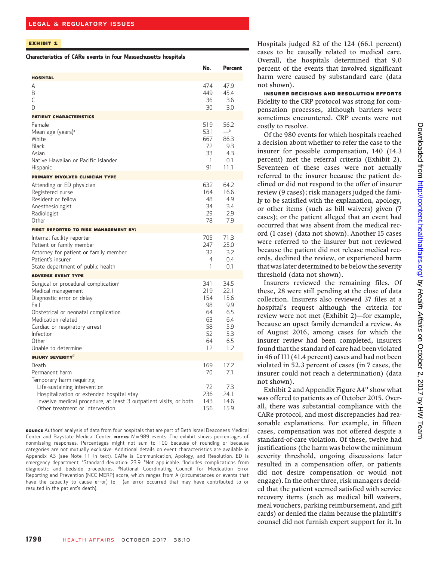#### Exhibit 1

#### Characteristics of CARe events in four Massachusetts hospitals

|                                                                                                                                                                                                                                                         | No.                                                         | Percent                                                               |
|---------------------------------------------------------------------------------------------------------------------------------------------------------------------------------------------------------------------------------------------------------|-------------------------------------------------------------|-----------------------------------------------------------------------|
| <b>HOSPITAL</b>                                                                                                                                                                                                                                         |                                                             |                                                                       |
| А<br>B<br>C<br>D                                                                                                                                                                                                                                        | 474<br>449<br>36<br>30                                      | 47.9<br>45.4<br>3.6<br>3.0                                            |
| <b>PATIENT CHARACTERISTICS</b>                                                                                                                                                                                                                          |                                                             |                                                                       |
| Female<br>Mean age (years) <sup>a</sup><br>White<br><b>Black</b><br>Asian<br>Native Hawaiian or Pacific Islander<br>Hispanic                                                                                                                            | 519<br>53.1<br>667<br>72<br>33<br>1<br>91                   | 56.2<br>$-b$<br>86.3<br>9.3<br>4.3<br>0.1<br>11.1                     |
| PRIMARY INVOLVED CLINICIAN TYPE                                                                                                                                                                                                                         |                                                             |                                                                       |
| Attending or ED physician<br>Registered nurse<br>Resident or fellow<br>Anesthesiologist<br>Radiologist<br>Other                                                                                                                                         | 632<br>164<br>48<br>34<br>29<br>78                          | 64.2<br>16.6<br>4.9<br>3.4<br>2.9<br>7.9                              |
| FIRST REPORTED TO RISK MANAGEMENT BY:                                                                                                                                                                                                                   |                                                             |                                                                       |
| Internal facility reporter<br>Patient or family member<br>Attorney for patient or family member<br>Patient's insurer<br>State department of public health                                                                                               | 705<br>247<br>32<br>4<br>1                                  | 71.3<br>25.0<br>3.2<br>0.4<br>0.1                                     |
| <b>ADVERSE EVENT TYPE</b>                                                                                                                                                                                                                               |                                                             |                                                                       |
| Surgical or procedural complication <sup>c</sup><br>Medical management<br>Diagnostic error or delay<br>Fall<br>Obstetrical or neonatal complication<br>Medication related<br>Cardiac or respiratory arrest<br>Infection<br>Other<br>Unable to determine | 341<br>219<br>154<br>98<br>64<br>63<br>58<br>52<br>64<br>12 | 34.5<br>22.1<br>15.6<br>9.9<br>6.5<br>6.4<br>5.9<br>5.3<br>6.5<br>1.2 |
| <b>INJURY SEVERITY<sup>d</sup></b>                                                                                                                                                                                                                      |                                                             |                                                                       |
| Death<br>Permanent harm<br>Temporary harm requiring:                                                                                                                                                                                                    | 169<br>70                                                   | 17.2<br>7.1                                                           |
| Life-sustaining intervention<br>Hospitalization or extended hospital stay<br>Invasive medical procedure, at least 3 outpatient visits, or both<br>Other treatment or intervention                                                                       | 72<br>236<br>143<br>156                                     | 7.3<br>24.1<br>14.6<br>15.9                                           |

source Authors' analysis of data from four hospitals that are part of Beth Israel Deaconess Medical Center and Baystate Medical Center. Notes  $N = 989$  events. The exhibit shows percentages of nonmissing responses. Percentages might not sum to 100 because of rounding or because categories are not mutually exclusive. Additional details on event characteristics are available in Appendix A3 (see Note 11 in text). CARe is Communication, Apology, and Resolution. ED is emergency department. <sup>a</sup>Standard deviation: 23.9. <sup>b</sup>Not applicable. <sup>c</sup>Includes complications from diagnostic and bedside procedures. <sup>d</sup>National Coordinating Council for Medication Error Reporting and Prevention (NCC MERP) score, which ranges from A (circumstances or events that have the capacity to cause error) to I (an error occurred that may have contributed to or resulted in the patient's death).

Hospitals judged 82 of the 124 (66.1 percent) cases to be causally related to medical care. Overall, the hospitals determined that 9.0 percent of the events that involved significant harm were caused by substandard care (data not shown).

Insurer Decisions And Resolution Efforts Fidelity to the CRP protocol was strong for compensation processes, although barriers were sometimes encountered. CRP events were not costly to resolve.

Of the 980 events for which hospitals reached a decision about whether to refer the case to the insurer for possible compensation, 140 (14.3 percent) met the referral criteria (Exhibit 2). Seventeen of these cases were not actually referred to the insurer because the patient declined or did not respond to the offer of insurer review (9 cases); risk managers judged the family to be satisfied with the explanation, apology, or other items (such as bill waivers) given (7 cases); or the patient alleged that an event had occurred that was absent from the medical record (1 case) (data not shown). Another 15 cases were referred to the insurer but not reviewed because the patient did not release medical records, declined the review, or experienced harm that was later determined to be below the severity threshold (data not shown).

Insurers reviewed the remaining files. Of these, 28 were still pending at the close of data collection. Insurers also reviewed 37 files at a hospital's request although the criteria for review were not met (Exhibit 2)—for example, because an upset family demanded a review. As of August 2016, among cases for which the insurer review had been completed, insurers found that the standard of care had been violated in 46 of 111 (41.4 percent) cases and had not been violated in 52.3 percent of cases (in 7 cases, the insurer could not reach a determination) (data not shown).

Exhibit 2 and Appendix Figure  $A4<sup>11</sup>$  show what was offered to patients as of October 2015. Overall, there was substantial compliance with the CARe protocol, and most discrepancies had reasonable explanations. For example, in fifteen cases, compensation was not offered despite a standard-of-care violation. Of these, twelve had justifications (the harm was below the minimum severity threshold, ongoing discussions later resulted in a compensation offer, or patients did not desire compensation or would not engage). In the other three, risk managers decided that the patient seemed satisfied with service recovery items (such as medical bill waivers, meal vouchers, parking reimbursement, and gift cards) or denied the claim because the plaintiff's counsel did not furnish expert support for it. In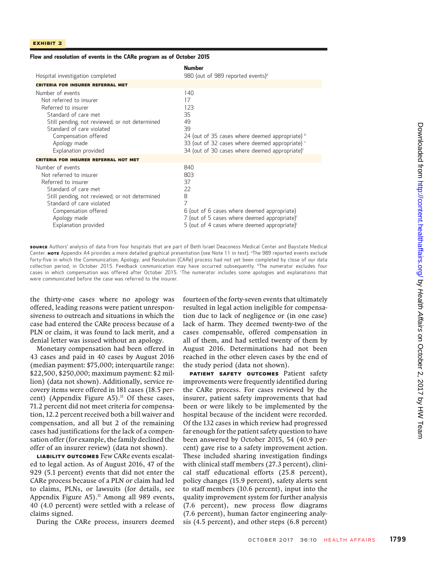#### Flow and resolution of events in the CARe program as of October 2015

|                                                                                                                                                                                                                                           | <b>Number</b>                                                                                                                                                                                                     |
|-------------------------------------------------------------------------------------------------------------------------------------------------------------------------------------------------------------------------------------------|-------------------------------------------------------------------------------------------------------------------------------------------------------------------------------------------------------------------|
| Hospital investigation completed                                                                                                                                                                                                          | 980 (out of 989 reported events) <sup>®</sup>                                                                                                                                                                     |
| <b>CRITERIA FOR INSURER REFERRAL MET</b>                                                                                                                                                                                                  |                                                                                                                                                                                                                   |
| Number of events<br>Not referred to insurer<br>Referred to insurer<br>Standard of care met<br>Still pending, not reviewed, or not determined<br>Standard of care violated<br>Compensation offered<br>Apology made<br>Explanation provided | 140<br>17<br>123<br>35<br>49<br>39<br>24 (out of 35 cases where deemed appropriate) $\overline{ }$<br>33 (out of 32 cases where deemed appropriate) c<br>34 (out of 30 cases where deemed appropriate) $\epsilon$ |
| <b>RIA FOR INSURER REFERRAL NOT MET</b>                                                                                                                                                                                                   |                                                                                                                                                                                                                   |
| Number of events<br>Not referred to insurer<br>Referred to insurer<br>Standard of care met<br>Still pending, not reviewed, or not determined<br>Standard of care violated<br>Compensation offered<br>Apology made<br>Explanation provided | 840<br>803<br>37<br>22<br>8<br>7<br>6 (out of 6 cases where deemed appropriate)<br>7 (out of 5 cases where deemed appropriate) $\epsilon$<br>5 (out of 4 cases where deemed appropriate) $\epsilon$               |

source Authors' analysis of data from four hospitals that are part of Beth Israel Deaconess Medical Center and Baystate Medical Center. **NOTE** Appendix A4 provides a more detailed graphical presentation (see Note 11 in text). <sup>a</sup>The 989 reported events exclude forty-five in which the Communication, Apology, and Resolution (CARe) process had not yet been completed by close of our data collection period, in October 2015. Feedback communication may have occurred subsequently. <sup>b</sup>The numerator excludes four cases in which compensation was offered after October 2015. 'The numerator includes some apologies and explanations that were communicated before the case was referred to the insurer.

the thirty-one cases where no apology was offered, leading reasons were patient unresponsiveness to outreach and situations in which the case had entered the CARe process because of a PLN or claim, it was found to lack merit, and a denial letter was issued without an apology.

Monetary compensation had been offered in 43 cases and paid in 40 cases by August 2016 (median payment: \$75,000; interquartile range: \$22,500, \$250,000; maximum payment: \$2 million) (data not shown). Additionally, service recovery items were offered in 181 cases (18.5 percent) (Appendix Figure A5). $11$  Of these cases, 71.2 percent did not meet criteria for compensation, 12.2 percent received both a bill waiver and compensation, and all but 2 of the remaining cases had justifications for the lack of a compensation offer (for example, the family declined the offer of an insurer review) (data not shown).

Liability Outcomes Few CARe events escalated to legal action. As of August 2016, 47 of the 929 (5.1 percent) events that did not enter the CARe process because of a PLN or claim had led to claims, PLNs, or lawsuits (for details, see Appendix Figure  $A5$ ).<sup>11</sup> Among all 989 events, 40 (4.0 percent) were settled with a release of claims signed.

During the CARe process, insurers deemed

fourteen of the forty-seven events that ultimately resulted in legal action ineligible for compensation due to lack of negligence or (in one case) lack of harm. They deemed twenty-two of the cases compensable, offered compensation in all of them, and had settled twenty of them by August 2016. Determinations had not been reached in the other eleven cases by the end of the study period (data not shown).

PATIENT SAFETY OUTCOMES Patient safety improvements were frequently identified during the CARe process. For cases reviewed by the insurer, patient safety improvements that had been or were likely to be implemented by the hospital because of the incident were recorded. Of the 132 cases in which review had progressed far enough for the patient safety question to have been answered by October 2015, 54 (40.9 percent) gave rise to a safety improvement action. These included sharing investigation findings with clinical staff members (27.3 percent), clinical staff educational efforts (25.8 percent), policy changes (15.9 percent), safety alerts sent to staff members (10.6 percent), input into the quality improvement system for further analysis (7.6 percent), new process flow diagrams (7.6 percent), human factor engineering analysis (4.5 percent), and other steps (6.8 percent)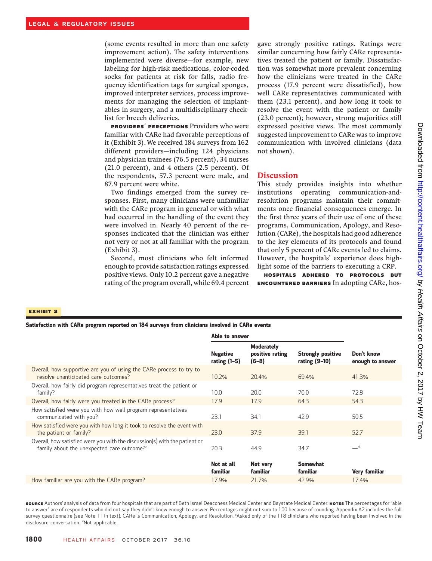(some events resulted in more than one safety improvement action). The safety interventions implemented were diverse—for example, new labeling for high-risk medications, color-coded socks for patients at risk for falls, radio frequency identification tags for surgical sponges, improved interpreter services, process improvements for managing the selection of implantables in surgery, and a multidisciplinary checklist for breech deliveries.

Providers' Perceptions Providers who were familiar with CARe had favorable perceptions of it (Exhibit 3).We received 184 surveys from 162 different providers—including 124 physicians and physician trainees (76.5 percent), 34 nurses (21.0 percent), and 4 others (2.5 percent). Of the respondents, 57.3 percent were male, and 87.9 percent were white.

Two findings emerged from the survey responses. First, many clinicians were unfamiliar with the CARe program in general or with what had occurred in the handling of the event they were involved in. Nearly 40 percent of the responses indicated that the clinician was either not very or not at all familiar with the program (Exhibit 3).

Second, most clinicians who felt informed enough to provide satisfaction ratings expressed positive views. Only 10.2 percent gave a negative rating of the program overall, while 69.4 percent

gave strongly positive ratings. Ratings were similar concerning how fairly CARe representatives treated the patient or family. Dissatisfaction was somewhat more prevalent concerning how the clinicians were treated in the CARe process (17.9 percent were dissatisfied), how well CARe representatives communicated with them (23.1 percent), and how long it took to resolve the event with the patient or family (23.0 percent); however, strong majorities still expressed positive views. The most commonly suggested improvement to CARe was to improve communication with involved clinicians (data not shown).

#### Discussion

This study provides insights into whether institutions operating communication-andresolution programs maintain their commitments once financial consequences emerge. In the first three years of their use of one of these programs, Communication, Apology, and Resolution (CARe), the hospitals had good adherence to the key elements of its protocols and found that only 5 percent of CARe events led to claims. However, the hospitals' experience does highlight some of the barriers to executing a CRP.

Hospitals Adhered To Protocols But Encountered Barriers In adopting CARe, hos-

Exhibit 3

Satisfaction with CARe program reported on 184 surveys from clinicians involved in CARe events

|                                                                                                                                      |                                   | Able to answer                                  |                                             |                                |  |  |
|--------------------------------------------------------------------------------------------------------------------------------------|-----------------------------------|-------------------------------------------------|---------------------------------------------|--------------------------------|--|--|
|                                                                                                                                      | <b>Negative</b><br>rating $(1-5)$ | <b>Moderately</b><br>positive rating<br>$(6-8)$ | <b>Strongly positive</b><br>rating $(9-10)$ | Don't know<br>enough to answer |  |  |
| Overall, how supportive are you of using the CARe process to try to<br>resolve unanticipated care outcomes?                          | 10.2%                             | 20.4%                                           | 69.4%                                       | 41.3%                          |  |  |
| Overall, how fairly did program representatives treat the patient or<br>family?                                                      | 10.0                              | 20.0                                            | 70.0                                        | 72.8                           |  |  |
| Overall, how fairly were you treated in the CARe process?                                                                            | 17.9                              | 17.9                                            | 64.3                                        | 54.3                           |  |  |
| How satisfied were you with how well program representatives<br>communicated with you?                                               | 23.1                              | 34.1                                            | 42.9                                        | 50.5                           |  |  |
| How satisfied were you with how long it took to resolve the event with<br>the patient or family?                                     | 23.0                              | 37.9                                            | 39.1                                        | 52.7                           |  |  |
| Overall, how satisfied were you with the discussion(s) with the patient or<br>family about the unexpected care outcome? <sup>c</sup> | 20.3                              | 44.9                                            | 34.7                                        | —₫                             |  |  |
|                                                                                                                                      | Not at all<br>familiar            | Not very<br>familiar                            | <b>Somewhat</b><br>familiar                 | Very familiar                  |  |  |
| How familiar are you with the CARe program?                                                                                          | 17.9%                             | 21.7%                                           | 42.9%                                       | 17.4%                          |  |  |

source Authors' analysis of data from four hospitals that are part of Beth Israel Deaconess Medical Center and Baystate Medical Center. NoTES The percentages for "able to answer" are of respondents who did not say they didn't know enough to answer. Percentages might not sum to 100 because of rounding. Appendix A2 includes the full survey questionnaire (see Note 11 in text). CARe is Communication, Apology, and Resolution. ʿAsked only of the 118 clinicians who reported having been involved in the disclosure conversation. <sup>d</sup>Not applicable.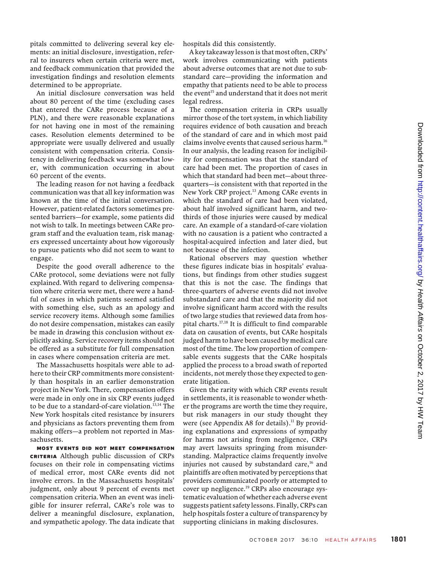pitals committed to delivering several key elements: an initial disclosure, investigation, referral to insurers when certain criteria were met, and feedback communication that provided the investigation findings and resolution elements determined to be appropriate.

An initial disclosure conversation was held about 80 percent of the time (excluding cases that entered the CARe process because of a PLN), and there were reasonable explanations for not having one in most of the remaining cases. Resolution elements determined to be appropriate were usually delivered and usually consistent with compensation criteria. Consistency in delivering feedback was somewhat lower, with communication occurring in about 60 percent of the events.

The leading reason for not having a feedback communication was that all key information was known at the time of the initial conversation. However, patient-related factors sometimes presented barriers—for example, some patients did not wish to talk. In meetings between CARe program staff and the evaluation team, risk managers expressed uncertainty about how vigorously to pursue patients who did not seem to want to engage.

Despite the good overall adherence to the CARe protocol, some deviations were not fully explained. With regard to delivering compensation where criteria were met, there were a handful of cases in which patients seemed satisfied with something else, such as an apology and service recovery items. Although some families do not desire compensation, mistakes can easily be made in drawing this conclusion without explicitly asking. Service recovery items should not be offered as a substitute for full compensation in cases where compensation criteria are met.

The Massachusetts hospitals were able to adhere to their CRP commitments more consistently than hospitals in an earlier demonstration project in New York. There, compensation offers were made in only one in six CRP events judged to be due to a standard-of-care violation.<sup>13,14</sup> The New York hospitals cited resistance by insurers and physicians as factors preventing them from making offers—a problem not reported in Massachusetts.

Most Events Did Not Meet Compensation Criteria Although public discussion of CRPs focuses on their role in compensating victims of medical error, most CARe events did not involve errors. In the Massachusetts hospitals' judgment, only about 9 percent of events met compensation criteria.When an event was ineligible for insurer referral, CARe's role was to deliver a meaningful disclosure, explanation, and sympathetic apology. The data indicate that

hospitals did this consistently.

A key takeaway lesson is that most often, CRPs' work involves communicating with patients about adverse outcomes that are not due to substandard care—providing the information and empathy that patients need to be able to process the event<sup>15</sup> and understand that it does not merit legal redress.

The compensation criteria in CRPs usually mirror those of the tort system, in which liability requires evidence of both causation and breach of the standard of care and in which most paid claims involve events that caused serious harm.16 In our analysis, the leading reason for ineligibility for compensation was that the standard of care had been met. The proportion of cases in which that standard had been met—about threequarters—is consistent with that reported in the New York CRP project.13 Among CARe events in which the standard of care had been violated, about half involved significant harm, and twothirds of those injuries were caused by medical care. An example of a standard-of-care violation with no causation is a patient who contracted a hospital-acquired infection and later died, but not because of the infection.

Rational observers may question whether these figures indicate bias in hospitals' evaluations, but findings from other studies suggest that this is not the case. The findings that three-quarters of adverse events did not involve substandard care and that the majority did not involve significant harm accord with the results of two large studies that reviewed data from hospital charts.17,18 It is difficult to find comparable data on causation of events, but CARe hospitals judged harm to have been caused by medical care most of the time. The low proportion of compensable events suggests that the CARe hospitals applied the process to a broad swath of reported incidents, not merely those they expected to generate litigation.

Given the rarity with which CRP events result in settlements, it is reasonable to wonder whether the programs are worth the time they require, but risk managers in our study thought they were (see Appendix A8 for details).<sup>11</sup> By providing explanations and expressions of sympathy for harms not arising from negligence, CRPs may avert lawsuits springing from misunderstanding. Malpractice claims frequently involve injuries not caused by substandard care,<sup>16</sup> and plaintiffs are often motivated by perceptions that providers communicated poorly or attempted to cover up negligence.<sup>19</sup> CRPs also encourage systematic evaluation of whether each adverse event suggests patient safety lessons. Finally, CRPs can help hospitals foster a culture of transparency by supporting clinicians in making disclosures.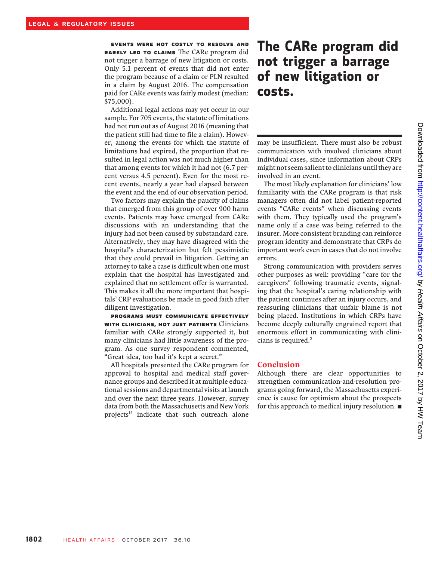Events Were Not Costly To Resolve And RARELY LED TO CLAIMS The CARe program did not trigger a barrage of new litigation or costs. Only 5.1 percent of events that did not enter the program because of a claim or PLN resulted in a claim by August 2016. The compensation paid for CARe events was fairly modest (median: \$75,000).

Additional legal actions may yet occur in our sample. For 705 events, the statute of limitations had not run out as of August 2016 (meaning that the patient still had time to file a claim). However, among the events for which the statute of limitations had expired, the proportion that resulted in legal action was not much higher than that among events for which it had not (6.7 percent versus 4.5 percent). Even for the most recent events, nearly a year had elapsed between the event and the end of our observation period.

Two factors may explain the paucity of claims that emerged from this group of over 900 harm events. Patients may have emerged from CARe discussions with an understanding that the injury had not been caused by substandard care. Alternatively, they may have disagreed with the hospital's characterization but felt pessimistic that they could prevail in litigation. Getting an attorney to take a case is difficult when one must explain that the hospital has investigated and explained that no settlement offer is warranted. This makes it all the more important that hospitals' CRP evaluations be made in good faith after diligent investigation.

Programs Must Communicate Effectively WITH CLINICIANS, NOT JUST PATIENTS Clinicians familiar with CARe strongly supported it, but many clinicians had little awareness of the program. As one survey respondent commented, "Great idea, too bad it's kept a secret."

All hospitals presented the CARe program for approval to hospital and medical staff governance groups and described it at multiple educational sessions and departmental visits at launch and over the next three years. However, survey data from both the Massachusetts and New York projects<sup>13</sup> indicate that such outreach alone

# The CARe program did not trigger a barrage of new litigation or costs.

may be insufficient. There must also be robust communication with involved clinicians about individual cases, since information about CRPs might not seem salient to clinicians until they are involved in an event.

The most likely explanation for clinicians' low familiarity with the CARe program is that risk managers often did not label patient-reported events "CARe events" when discussing events with them. They typically used the program's name only if a case was being referred to the insurer. More consistent branding can reinforce program identity and demonstrate that CRPs do important work even in cases that do not involve errors.

Strong communication with providers serves other purposes as well: providing "care for the caregivers" following traumatic events, signaling that the hospital's caring relationship with the patient continues after an injury occurs, and reassuring clinicians that unfair blame is not being placed. Institutions in which CRPs have become deeply culturally engrained report that enormous effort in communicating with clinicians is required. $<sup>2</sup>$ </sup>

#### Conclusion

Although there are clear opportunities to strengthen communication-and-resolution programs going forward, the Massachusetts experience is cause for optimism about the prospects for this approach to medical injury resolution.  $\blacksquare$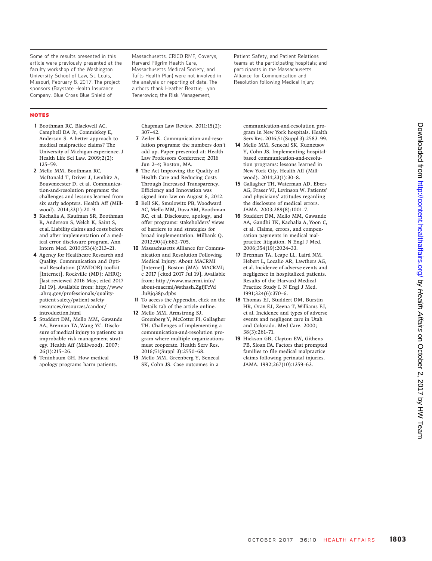Some of the results presented in this article were previously presented at the faculty workshop of the Washington University School of Law, St. Louis, Missouri, February 8, 2017. The project sponsors (Baystate Health Insurance Company, Blue Cross Blue Shield of

Massachusetts, CRICO RMF, Coverys, Harvard Pilgrim Health Care, Massachusetts Medical Society, and Tufts Health Plan) were not involved in the analysis or reporting of data. The authors thank Heather Beattie; Lynn Tenerowicz; the Risk Management,

Patient Safety, and Patient Relations teams at the participating hospitals; and participants in the Massachusetts Alliance for Communication and Resolution following Medical Injury.

#### NOTES

- 1 Boothman RC, Blackwell AC, Campbell DA Jr, Commiskey E, Anderson S. A better approach to medical malpractice claims? The University of Michigan experience. J Health Life Sci Law. 2009;2(2): 125–59.
- 2 Mello MM, Boothman RC, McDonald T, Driver J, Lembitz A, Bouwmeester D, et al. Communication-and-resolution programs: the challenges and lessons learned from six early adopters. Health Aff (Millwood). 2014;33(1):20–9.
- 3 Kachalia A, Kaufman SR, Boothman R, Anderson S, Welch K, Saint S, et al. Liability claims and costs before and after implementation of a medical error disclosure program. Ann Intern Med. 2010;153(4):213–21.
- 4 Agency for Healthcare Research and Quality. Communication and Optimal Resolution (CANDOR) toolkit [Internet]. Rockville (MD): AHRQ; [last reviewed 2016 May; cited 2017 Jul 19]. Available from: http://www .ahrq.gov/professionals/qualitypatient-safety/patient-safetyresources/resources/candor/ introduction.html
- 5 Studdert DM, Mello MM, Gawande AA, Brennan TA, Wang YC. Disclosure of medical injury to patients: an improbable risk management strategy. Health Aff (Millwood). 2007; 26(1):215–26.
- 6 Teninbaum GH. How medical apology programs harm patients.

Chapman Law Review. 2011;15(2): 307–42.

- 7 Zeiler K. Communication-and-resolution programs: the numbers don't add up. Paper presented at: Health Law Professors Conference; 2016 Jun 2–4; Boston, MA.
- 8 The Act Improving the Quality of Health Care and Reducing Costs Through Increased Transparency, Efficiency and Innovation was signed into law on August 6, 2012.
- 9 Bell SK, Smulowitz PB, Woodward AC, Mello MM, Duva AM, Boothman RC, et al. Disclosure, apology, and offer programs: stakeholders' views of barriers to and strategies for broad implementation. Milbank Q. 2012;90(4):682–705.
- 10 Massachusetts Alliance for Communication and Resolution Following Medical Injury. About MACRMI [Internet]. Boston (MA): MACRMI; c 2017 [cited 2017 Jul 19]. Available from: http://www.macrmi.info/ about-macrmi/#sthash.ZgfjFcVd .luBjq38p.dpbs
- 11 To access the Appendix, click on the Details tab of the article online.
- 12 Mello MM, Armstrong SJ, Greenberg Y, McCotter PI, Gallagher TH. Challenges of implementing a communication-and-resolution program where multiple organizations must cooperate. Health Serv Res. 2016;51(Suppl 3):2550–68.
- 13 Mello MM, Greenberg Y, Senecal SK, Cohn JS. Case outcomes in a

communication-and-resolution program in New York hospitals. Health Serv Res. 2016;51(Suppl 3):2583–99.

- 14 Mello MM, Senecal SK, Kuznetsov Y, Cohn JS. Implementing hospitalbased communication-and-resolution programs: lessons learned in New York City. Health Aff (Millwood). 2014;33(1):30–8.
- 15 Gallagher TH, Waterman AD, Ebers AG, Fraser VJ, Levinson W. Patients' and physicians' attitudes regarding the disclosure of medical errors. JAMA. 2003;289(8):1001–7.
- 16 Studdert DM, Mello MM, Gawande AA, Gandhi TK, Kachalia A, Yoon C, et al. Claims, errors, and compensation payments in medical malpractice litigation. N Engl J Med. 2006;354(19):2024–33.
- 17 Brennan TA, Leape LL, Laird NM, Hebert L, Localio AR, Lawthers AG, et al. Incidence of adverse events and negligence in hospitalized patients. Results of the Harvard Medical Practice Study I. N Engl J Med. 1991;324(6):370–6.
- 18 Thomas EJ, Studdert DM, Burstin HR, Orav EJ, Zeena T, Williams EJ, et al. Incidence and types of adverse events and negligent care in Utah and Colorado. Med Care. 2000; 38(3):261–71.
- 19 Hickson GB, Clayton EW, Githens PB, Sloan FA. Factors that prompted families to file medical malpractice claims following perinatal injuries. JAMA. 1992;267(10):1359–63.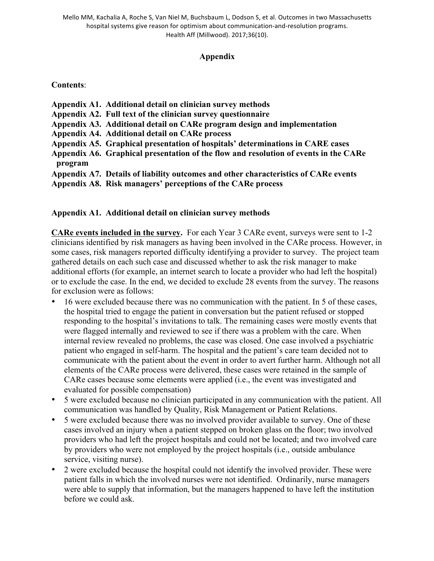Mello MM, Kachalia A, Roche S, Van Niel M, Buchsbaum L, Dodson S, et al. Outcomes in two Massachusetts hospital systems give reason for optimism about communication-and-resolution programs. Health Aff (Millwood). 2017;36(10).

# **Appendix**

**Contents**:

- **Appendix A1. Additional detail on clinician survey methods**
- **Appendix A2. Full text of the clinician survey questionnaire**
- **Appendix A3. Additional detail on CARe program design and implementation**
- **Appendix A4. Additional detail on CARe process**
- **Appendix A5. Graphical presentation of hospitals' determinations in CARE cases**
- **Appendix A6. Graphical presentation of the flow and resolution of events in the CARe program**
- **Appendix A7. Details of liability outcomes and other characteristics of CARe events**

**Appendix A8. Risk managers' perceptions of the CARe process**

# **Appendix A1. Additional detail on clinician survey methods**

**CARe events included in the survey.** For each Year 3 CARe event, surveys were sent to 1-2 clinicians identified by risk managers as having been involved in the CARe process. However, in some cases, risk managers reported difficulty identifying a provider to survey. The project team gathered details on each such case and discussed whether to ask the risk manager to make additional efforts (for example, an internet search to locate a provider who had left the hospital) or to exclude the case. In the end, we decided to exclude 28 events from the survey. The reasons for exclusion were as follows:

- 16 were excluded because there was no communication with the patient. In 5 of these cases, the hospital tried to engage the patient in conversation but the patient refused or stopped responding to the hospital's invitations to talk. The remaining cases were mostly events that were flagged internally and reviewed to see if there was a problem with the care. When internal review revealed no problems, the case was closed. One case involved a psychiatric patient who engaged in self-harm. The hospital and the patient's care team decided not to communicate with the patient about the event in order to avert further harm. Although not all elements of the CARe process were delivered, these cases were retained in the sample of CARe cases because some elements were applied (i.e., the event was investigated and evaluated for possible compensation)
- 5 were excluded because no clinician participated in any communication with the patient. All communication was handled by Quality, Risk Management or Patient Relations.
- 5 were excluded because there was no involved provider available to survey. One of these cases involved an injury when a patient stepped on broken glass on the floor; two involved providers who had left the project hospitals and could not be located; and two involved care by providers who were not employed by the project hospitals (i.e., outside ambulance service, visiting nurse).
- 2 were excluded because the hospital could not identify the involved provider. These were patient falls in which the involved nurses were not identified. Ordinarily, nurse managers were able to supply that information, but the managers happened to have left the institution before we could ask.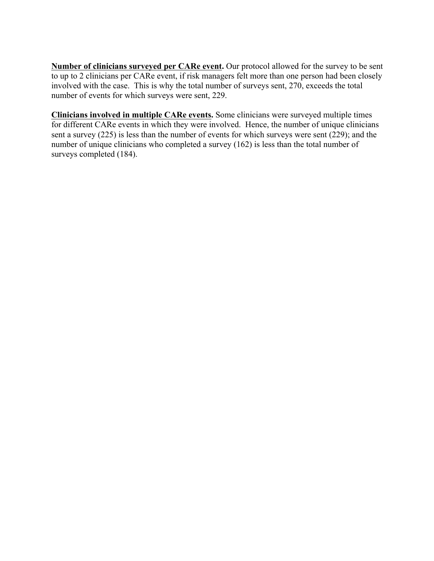**Number of clinicians surveyed per CARe event.** Our protocol allowed for the survey to be sent to up to 2 clinicians per CARe event, if risk managers felt more than one person had been closely involved with the case. This is why the total number of surveys sent, 270, exceeds the total number of events for which surveys were sent, 229.

**Clinicians involved in multiple CARe events.** Some clinicians were surveyed multiple times for different CARe events in which they were involved. Hence, the number of unique clinicians sent a survey (225) is less than the number of events for which surveys were sent (229); and the number of unique clinicians who completed a survey (162) is less than the total number of surveys completed (184).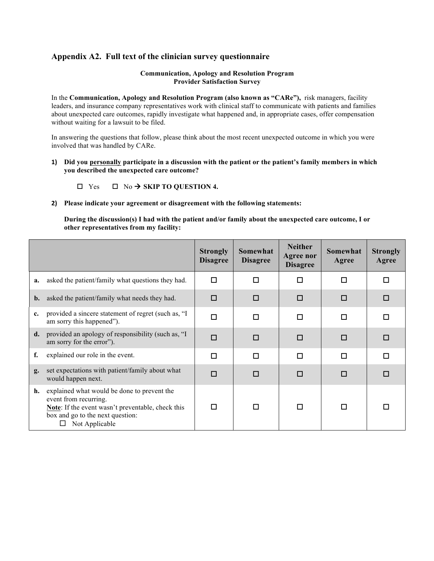# **Appendix A2. Full text of the clinician survey questionnaire**

#### **Communication, Apology and Resolution Program Provider Satisfaction Survey**

In the **Communication, Apology and Resolution Program (also known as "CARe"),** risk managers, facility leaders, and insurance company representatives work with clinical staff to communicate with patients and families about unexpected care outcomes, rapidly investigate what happened and, in appropriate cases, offer compensation without waiting for a lawsuit to be filed.

In answering the questions that follow, please think about the most recent unexpected outcome in which you were involved that was handled by CARe.

**1) Did you personally participate in a discussion with the patient or the patient's family members in which you described the unexpected care outcome?**

 $\square$  Yes  $\square$  No  $\rightarrow$  **SKIP TO QUESTION 4.** 

**2) Please indicate your agreement or disagreement with the following statements:**

**During the discussion(s) I had with the patient and/or family about the unexpected care outcome, I or other representatives from my facility:**

|                |                                                                                                                                                                                 | <b>Strongly</b><br><b>Disagree</b> | Somewhat<br><b>Disagree</b> | <b>Neither</b><br>Agree nor<br><b>Disagree</b> | Somewhat<br>Agree | <b>Strongly</b><br>Agree |
|----------------|---------------------------------------------------------------------------------------------------------------------------------------------------------------------------------|------------------------------------|-----------------------------|------------------------------------------------|-------------------|--------------------------|
| a.             | asked the patient/family what questions they had.                                                                                                                               | п                                  | □                           | п                                              | □                 | п                        |
| $\mathbf{b}$ . | asked the patient/family what needs they had.                                                                                                                                   | $\Box$                             | $\Box$                      | П                                              | П                 | п                        |
| c.             | provided a sincere statement of regret (such as, "I<br>am sorry this happened").                                                                                                | □                                  | $\Box$                      | п                                              | □                 | п                        |
| d.             | provided an apology of responsibility (such as, "I<br>am sorry for the error").                                                                                                 | $\Box$                             | $\Box$                      | П                                              | $\Box$            | $\Box$                   |
| f.             | explained our role in the event.                                                                                                                                                | п                                  | п                           | п                                              | П                 | п                        |
| g.             | set expectations with patient/family about what<br>would happen next.                                                                                                           | $\Box$                             | $\Box$                      | П                                              | П                 | П                        |
| h.             | explained what would be done to prevent the<br>event from recurring.<br>Note: If the event wasn't preventable, check this<br>box and go to the next question:<br>Not Applicable | п                                  | п                           | п                                              | п                 | п                        |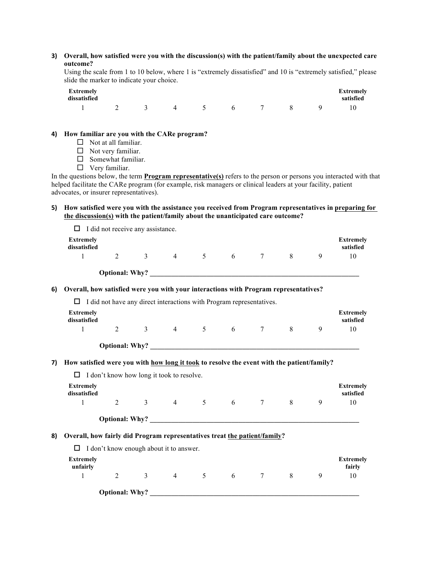**3) Overall, how satisfied were you with the discussion(s) with the patient/family about the unexpected care outcome?** 

Using the scale from 1 to 10 below, where 1 is "extremely dissatisfied" and 10 is "extremely satisfied," please slide the marker to indicate your choice.

| Extremely<br>dissatisfied |   |          |          |                |              | <b>Extremely</b><br>satisfied |
|---------------------------|---|----------|----------|----------------|--------------|-------------------------------|
|                           | ∸ | $\sim$ 4 | $\sim$ 5 | 6 <sup>6</sup> | $\mathbf{8}$ |                               |

#### **4) How familiar are you with the CARe program?**

- $\Box$  Not at all familiar.
- $\Box$  Not very familiar.
- $\square$  Somewhat familiar.
- $\Box$  Very familiar.

In the questions below, the term **Program representative(s)** refers to the person or persons you interacted with that helped facilitate the CARe program (for example, risk managers or clinical leaders at your facility, patient advocates, or insurer representatives).

#### **5) How satisfied were you with the assistance you received from Program representatives in preparing for the discussion(s) with the patient/family about the unanticipated care outcome?**

|                                  | $\Box$ I did not receive any assistance. |   |   |          |     |    |                               |
|----------------------------------|------------------------------------------|---|---|----------|-----|----|-------------------------------|
| <b>Extremely</b><br>dissatisfied |                                          |   |   |          |     |    | <b>Extremely</b><br>satisfied |
|                                  |                                          | 3 | 4 | $\sim$ 5 | 6 7 | -8 |                               |
|                                  | <b>Optional: Why?</b>                    |   |   |          |     |    |                               |

#### **6) Overall, how satisfied were you with your interactions with Program representatives?**

 $\Box$  I did not have any direct interactions with Program representatives.

| Extremely<br>dissatisfied |                |               |                |                |            |                |   | <b>Extremely</b><br>satisfied |
|---------------------------|----------------|---------------|----------------|----------------|------------|----------------|---|-------------------------------|
|                           | $\overline{2}$ | $\mathcal{R}$ | $\overline{4}$ | $\overline{5}$ | $6\degree$ | $\overline{7}$ | 8 |                               |

**Optional: Why? \_\_\_\_\_\_\_\_\_\_\_\_\_\_\_\_\_\_\_\_\_\_\_\_\_\_\_\_\_\_\_\_\_\_\_\_\_\_\_\_\_\_\_\_\_\_\_\_\_\_\_\_\_\_\_\_\_\_\_**

#### **7) How satisfied were you with how long it took to resolve the event with the patient/family?**

 $\Box$  I don't know how long it took to resolve.

| Extremely<br>dissatisfied |                |               |                |                |            |                |   | <b>Extremely</b><br>satisfied |
|---------------------------|----------------|---------------|----------------|----------------|------------|----------------|---|-------------------------------|
| $\mathbf{1}$              | $\overline{2}$ | $\mathcal{R}$ | $\overline{4}$ | $\overline{5}$ | $6\degree$ | $\overline{7}$ | 8 |                               |

### **Optional: Why? \_\_\_\_\_\_\_\_\_\_\_\_\_\_\_\_\_\_\_\_\_\_\_\_\_\_\_\_\_\_\_\_\_\_\_\_\_\_\_\_\_\_\_\_\_\_\_\_\_\_\_\_\_\_\_\_\_\_\_**

#### **8) Overall, how fairly did Program representatives treat the patient/family?**

|                              |                       | $\Box$ I don't know enough about it to answer. |                |        |    |  |                            |
|------------------------------|-----------------------|------------------------------------------------|----------------|--------|----|--|----------------------------|
| <b>Extremely</b><br>unfairly |                       |                                                |                |        |    |  | <b>Extremely</b><br>fairly |
|                              |                       |                                                | $\overline{4}$ | $\sim$ | 6. |  |                            |
|                              | <b>Optional: Why?</b> |                                                |                |        |    |  |                            |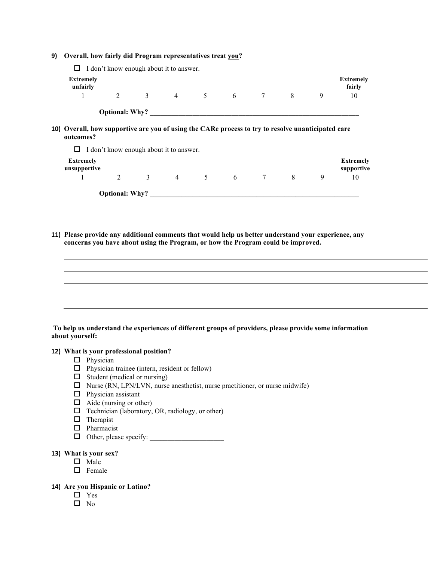#### **9) Overall, how fairly did Program representatives treat you?**

| $\Box$ I don't know enough about it to answer. |                       |               |   |   |   |  |                            |
|------------------------------------------------|-----------------------|---------------|---|---|---|--|----------------------------|
| <b>Extremely</b><br>unfairly                   |                       |               |   |   |   |  | <b>Extremely</b><br>fairly |
|                                                |                       | $\mathcal{R}$ | 4 | 5 | 6 |  |                            |
|                                                | <b>Optional: Why?</b> |               |   |   |   |  |                            |

#### **10) Overall, how supportive are you of using the CARe process to try to resolve unanticipated care outcomes?**

 $\Box$  I don't know enough about it to answer.

| Extremely<br>unsupportive |                       | $-$ |   |          |  | <b>Extremely</b><br>supportive |
|---------------------------|-----------------------|-----|---|----------|--|--------------------------------|
|                           |                       |     | 4 | $\sigma$ |  |                                |
|                           | <b>Optional: Why?</b> |     |   |          |  |                                |

**11) Please provide any additional comments that would help us better understand your experience, any concerns you have about using the Program, or how the Program could be improved.**

#### **To help us understand the experiences of different groups of providers, please provide some information about yourself:**

#### **12) What is your professional position?**

- $\Box$  Physician
- $\Box$  Physician trainee (intern, resident or fellow)
- $\Box$  Student (medical or nursing)
- $\square$  Nurse (RN, LPN/LVN, nurse anesthetist, nurse practitioner, or nurse midwife)
- $\Box$  Physician assistant
- $\Box$  Aide (nursing or other)
- $\Box$  Technician (laboratory, OR, radiology, or other)
- $\Box$  Therapist
- $\Box$  Pharmacist
- $\Box$  Other, please specify:

#### **13) What is your sex?**

- $\Box$  Male
- $\square$  Female

#### **14) Are you Hispanic or Latino?**

- $\square$  Yes
- $\square$  No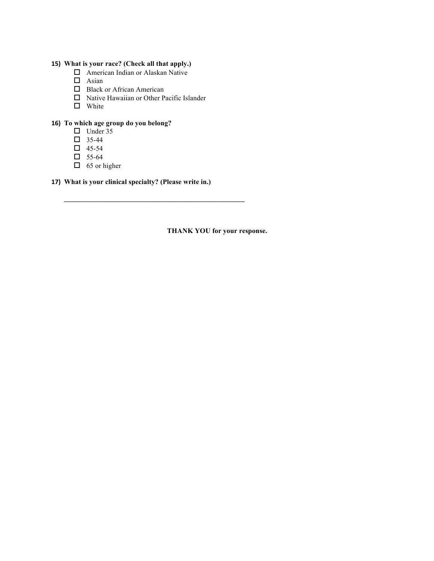#### **15) What is your race? (Check all that apply.)**

- $\Box$  American Indian or Alaskan Native
- $\Box$  Asian
- $\Box$  Black or African American
- $\Box$  Native Hawaiian or Other Pacific Islander
- $\Box$  White

# **16) To which age group do you belong?**

- $\Box$  Under 35
- $\Box$  35-44
- $\Box$  45-54
- $\Box$  55-64
- $\Box$  65 or higher

#### **17) What is your clinical specialty? (Please write in.)**

**THANK YOU for your response.**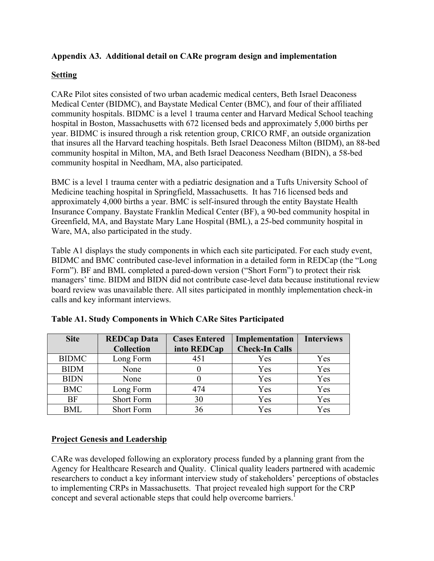# **Appendix A3. Additional detail on CARe program design and implementation**

# **Setting**

CARe Pilot sites consisted of two urban academic medical centers, Beth Israel Deaconess Medical Center (BIDMC), and Baystate Medical Center (BMC), and four of their affiliated community hospitals. BIDMC is a level 1 trauma center and Harvard Medical School teaching hospital in Boston, Massachusetts with 672 licensed beds and approximately 5,000 births per year. BIDMC is insured through a risk retention group, CRICO RMF, an outside organization that insures all the Harvard teaching hospitals. Beth Israel Deaconess Milton (BIDM), an 88-bed community hospital in Milton, MA, and Beth Israel Deaconess Needham (BIDN), a 58-bed community hospital in Needham, MA, also participated.

BMC is a level 1 trauma center with a pediatric designation and a Tufts University School of Medicine teaching hospital in Springfield, Massachusetts. It has 716 licensed beds and approximately 4,000 births a year. BMC is self-insured through the entity Baystate Health Insurance Company. Baystate Franklin Medical Center (BF), a 90-bed community hospital in Greenfield, MA, and Baystate Mary Lane Hospital (BML), a 25-bed community hospital in Ware, MA, also participated in the study.

Table A1 displays the study components in which each site participated. For each study event, BIDMC and BMC contributed case-level information in a detailed form in REDCap (the "Long Form"). BF and BML completed a pared-down version ("Short Form") to protect their risk managers' time. BIDM and BIDN did not contribute case-level data because institutional review board review was unavailable there. All sites participated in monthly implementation check-in calls and key informant interviews.

| <b>Site</b>  | <b>REDCap Data</b><br><b>Cases Entered</b> |             | Implementation        | <b>Interviews</b> |
|--------------|--------------------------------------------|-------------|-----------------------|-------------------|
|              | <b>Collection</b>                          | into REDCap | <b>Check-In Calls</b> |                   |
| <b>BIDMC</b> | Long Form                                  | 451         | Yes                   | Yes               |
| <b>BIDM</b>  | None                                       |             | Yes                   | Yes               |
| <b>BIDN</b>  | None                                       |             | Yes                   | Yes               |
| <b>BMC</b>   | Long Form                                  | 474         | Yes                   | Yes               |
| <b>BF</b>    | <b>Short Form</b>                          | 30          | Yes                   | Yes               |
| <b>BML</b>   | <b>Short Form</b>                          | 36          | Yes                   | Yes               |

|  | Table A1. Study Components in Which CARe Sites Participated |  |
|--|-------------------------------------------------------------|--|
|  |                                                             |  |

# **Project Genesis and Leadership**

CARe was developed following an exploratory process funded by a planning grant from the Agency for Healthcare Research and Quality. Clinical quality leaders partnered with academic researchers to conduct a key informant interview study of stakeholders' perceptions of obstacles to implementing CRPs in Massachusetts. That project revealed high support for the CRP concept and several actionable steps that could help overcome barriers.<sup>1</sup>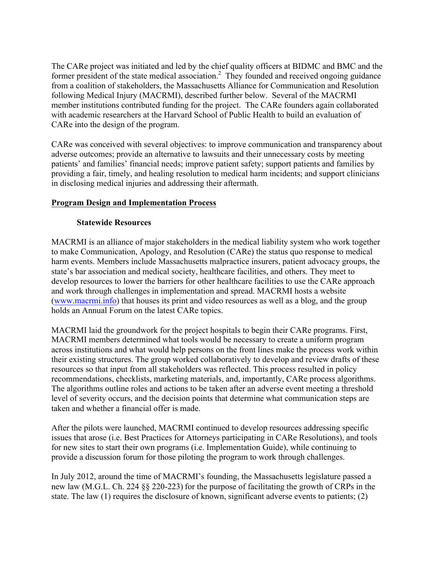The CARe project was initiated and led by the chief quality officers at BIDMC and BMC and the former president of the state medical association.<sup>2</sup> They founded and received ongoing guidance from a coalition of stakeholders, the Massachusetts Alliance for Communication and Resolution following Medical Injury (MACRMI), described further below. Several of the MACRMI member institutions contributed funding for the project. The CARe founders again collaborated with academic researchers at the Harvard School of Public Health to build an evaluation of CARe into the design of the program.

CARe was conceived with several objectives: to improve communication and transparency about adverse outcomes; provide an alternative to lawsuits and their unnecessary costs by meeting patients' and families' financial needs; improve patient safety; support patients and families by providing a fair, timely, and healing resolution to medical harm incidents; and support clinicians in disclosing medical injuries and addressing their aftermath.

# **Program Design and Implementation Process**

# **Statewide Resources**

MACRMI is an alliance of major stakeholders in the medical liability system who work together to make Communication, Apology, and Resolution (CARe) the status quo response to medical harm events. Members include Massachusetts malpractice insurers, patient advocacy groups, the state's bar association and medical society, healthcare facilities, and others. They meet to develop resources to lower the barriers for other healthcare facilities to use the CARe approach and work through challenges in implementation and spread. MACRMI hosts a website (www.macrmi.info) that houses its print and video resources as well as a blog, and the group holds an Annual Forum on the latest CARe topics.

MACRMI laid the groundwork for the project hospitals to begin their CARe programs. First, MACRMI members determined what tools would be necessary to create a uniform program across institutions and what would help persons on the front lines make the process work within their existing structures. The group worked collaboratively to develop and review drafts of these resources so that input from all stakeholders was reflected. This process resulted in policy recommendations, checklists, marketing materials, and, importantly, CARe process algorithms. The algorithms outline roles and actions to be taken after an adverse event meeting a threshold level of severity occurs, and the decision points that determine what communication steps are taken and whether a financial offer is made.

After the pilots were launched, MACRMI continued to develop resources addressing specific issues that arose (i.e. Best Practices for Attorneys participating in CARe Resolutions), and tools for new sites to start their own programs (i.e. Implementation Guide), while continuing to provide a discussion forum for those piloting the program to work through challenges.

In July 2012, around the time of MACRMI's founding, the Massachusetts legislature passed a new law (M.G.L. Ch. 224 §§ 220-223) for the purpose of facilitating the growth of CRPs in the state. The law (1) requires the disclosure of known, significant adverse events to patients; (2)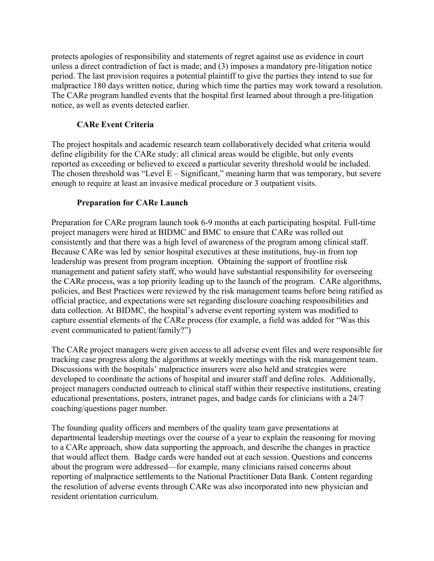protects apologies of responsibility and statements of regret against use as evidence in court unless a direct contradiction of fact is made; and (3) imposes a mandatory pre-litigation notice period. The last provision requires a potential plaintiff to give the parties they intend to sue for malpractice 180 days written notice, during which time the parties may work toward a resolution. The CARe program handled events that the hospital first learned about through a pre-litigation notice, as well as events detected earlier.

# **CARe Event Criteria**

The project hospitals and academic research team collaboratively decided what criteria would define eligibility for the CARe study: all clinical areas would be eligible, but only events reported as exceeding or believed to exceed a particular severity threshold would be included. The chosen threshold was "Level  $E -$  Significant," meaning harm that was temporary, but severe enough to require at least an invasive medical procedure or 3 outpatient visits.

# **Preparation for CARe Launch**

Preparation for CARe program launch took 6-9 months at each participating hospital. Full-time project managers were hired at BIDMC and BMC to ensure that CARe was rolled out consistently and that there was a high level of awareness of the program among clinical staff. Because CARe was led by senior hospital executives at these institutions, buy-in from top leadership was present from program inception. Obtaining the support of frontline risk management and patient safety staff, who would have substantial responsibility for overseeing the CARe process, was a top priority leading up to the launch of the program. CARe algorithms, policies, and Best Practices were reviewed by the risk management teams before being ratified as official practice, and expectations were set regarding disclosure coaching responsibilities and data collection. At BIDMC, the hospital's adverse event reporting system was modified to capture essential elements of the CARe process (for example, a field was added for "Was this event communicated to patient/family?")

The CARe project managers were given access to all adverse event files and were responsible for tracking case progress along the algorithms at weekly meetings with the risk management team. Discussions with the hospitals' malpractice insurers were also held and strategies were developed to coordinate the actions of hospital and insurer staff and define roles. Additionally, project managers conducted outreach to clinical staff within their respective institutions, creating educational presentations, posters, intranet pages, and badge cards for clinicians with a 24/7 coaching/questions pager number.

The founding quality officers and members of the quality team gave presentations at departmental leadership meetings over the course of a year to explain the reasoning for moving to a CARe approach, show data supporting the approach, and describe the changes in practice that would affect them. Badge cards were handed out at each session. Questions and concerns about the program were addressed—for example, many clinicians raised concerns about reporting of malpractice settlements to the National Practitioner Data Bank. Content regarding the resolution of adverse events through CARe was also incorporated into new physician and resident orientation curriculum.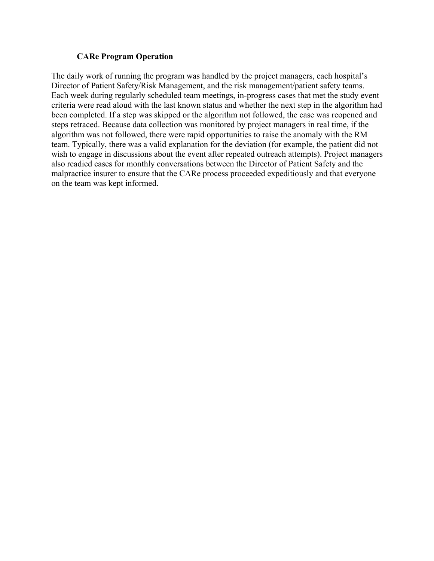## **CARe Program Operation**

The daily work of running the program was handled by the project managers, each hospital's Director of Patient Safety/Risk Management, and the risk management/patient safety teams. Each week during regularly scheduled team meetings, in-progress cases that met the study event criteria were read aloud with the last known status and whether the next step in the algorithm had been completed. If a step was skipped or the algorithm not followed, the case was reopened and steps retraced. Because data collection was monitored by project managers in real time, if the algorithm was not followed, there were rapid opportunities to raise the anomaly with the RM team. Typically, there was a valid explanation for the deviation (for example, the patient did not wish to engage in discussions about the event after repeated outreach attempts). Project managers also readied cases for monthly conversations between the Director of Patient Safety and the malpractice insurer to ensure that the CARe process proceeded expeditiously and that everyone on the team was kept informed.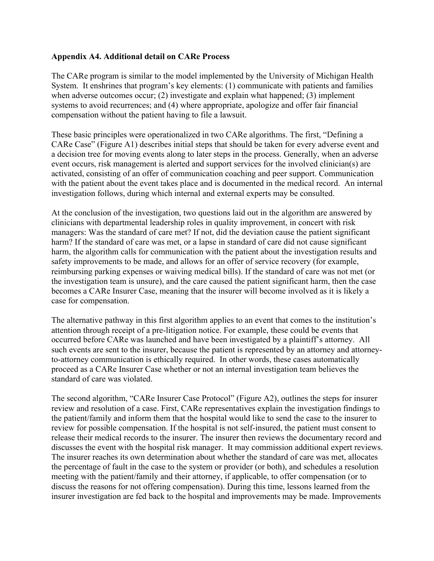# **Appendix A4. Additional detail on CARe Process**

The CARe program is similar to the model implemented by the University of Michigan Health System. It enshrines that program's key elements: (1) communicate with patients and families when adverse outcomes occur; (2) investigate and explain what happened; (3) implement systems to avoid recurrences; and (4) where appropriate, apologize and offer fair financial compensation without the patient having to file a lawsuit.

These basic principles were operationalized in two CARe algorithms. The first, "Defining a CARe Case" (Figure A1) describes initial steps that should be taken for every adverse event and a decision tree for moving events along to later steps in the process. Generally, when an adverse event occurs, risk management is alerted and support services for the involved clinician(s) are activated, consisting of an offer of communication coaching and peer support. Communication with the patient about the event takes place and is documented in the medical record. An internal investigation follows, during which internal and external experts may be consulted.

At the conclusion of the investigation, two questions laid out in the algorithm are answered by clinicians with departmental leadership roles in quality improvement, in concert with risk managers: Was the standard of care met? If not, did the deviation cause the patient significant harm? If the standard of care was met, or a lapse in standard of care did not cause significant harm, the algorithm calls for communication with the patient about the investigation results and safety improvements to be made, and allows for an offer of service recovery (for example, reimbursing parking expenses or waiving medical bills). If the standard of care was not met (or the investigation team is unsure), and the care caused the patient significant harm, then the case becomes a CARe Insurer Case, meaning that the insurer will become involved as it is likely a case for compensation.

The alternative pathway in this first algorithm applies to an event that comes to the institution's attention through receipt of a pre-litigation notice. For example, these could be events that occurred before CARe was launched and have been investigated by a plaintiff's attorney. All such events are sent to the insurer, because the patient is represented by an attorney and attorneyto-attorney communication is ethically required. In other words, these cases automatically proceed as a CARe Insurer Case whether or not an internal investigation team believes the standard of care was violated.

The second algorithm, "CARe Insurer Case Protocol" (Figure A2), outlines the steps for insurer review and resolution of a case. First, CARe representatives explain the investigation findings to the patient/family and inform them that the hospital would like to send the case to the insurer to review for possible compensation. If the hospital is not self-insured, the patient must consent to release their medical records to the insurer. The insurer then reviews the documentary record and discusses the event with the hospital risk manager. It may commission additional expert reviews. The insurer reaches its own determination about whether the standard of care was met, allocates the percentage of fault in the case to the system or provider (or both), and schedules a resolution meeting with the patient/family and their attorney, if applicable, to offer compensation (or to discuss the reasons for not offering compensation). During this time, lessons learned from the insurer investigation are fed back to the hospital and improvements may be made. Improvements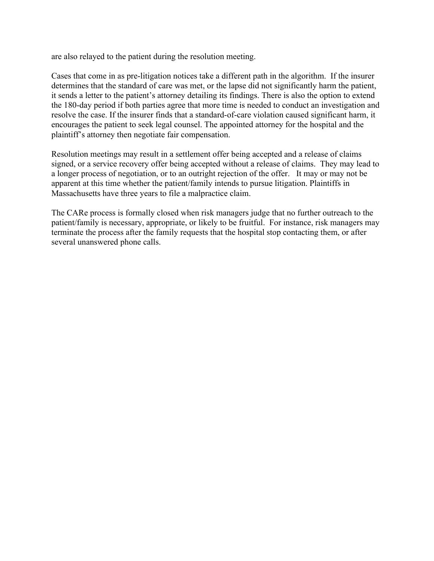are also relayed to the patient during the resolution meeting.

Cases that come in as pre-litigation notices take a different path in the algorithm. If the insurer determines that the standard of care was met, or the lapse did not significantly harm the patient, it sends a letter to the patient's attorney detailing its findings. There is also the option to extend the 180-day period if both parties agree that more time is needed to conduct an investigation and resolve the case. If the insurer finds that a standard-of-care violation caused significant harm, it encourages the patient to seek legal counsel. The appointed attorney for the hospital and the plaintiff's attorney then negotiate fair compensation.

Resolution meetings may result in a settlement offer being accepted and a release of claims signed, or a service recovery offer being accepted without a release of claims. They may lead to a longer process of negotiation, or to an outright rejection of the offer. It may or may not be apparent at this time whether the patient/family intends to pursue litigation. Plaintiffs in Massachusetts have three years to file a malpractice claim.

The CARe process is formally closed when risk managers judge that no further outreach to the patient/family is necessary, appropriate, or likely to be fruitful. For instance, risk managers may terminate the process after the family requests that the hospital stop contacting them, or after several unanswered phone calls.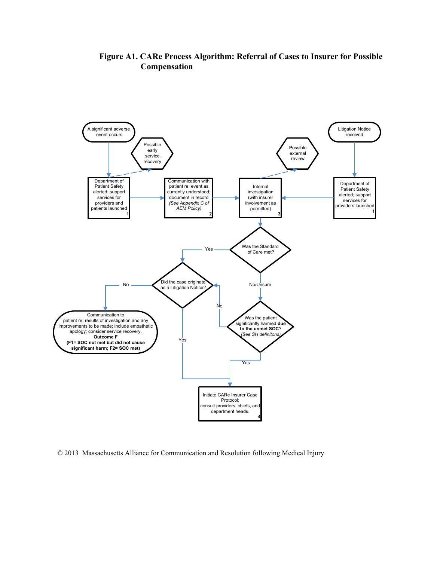# **Figure A1. CARe Process Algorithm: Referral of Cases to Insurer for Possible Compensation**



© 2013 Massachusetts Alliance for Communication and Resolution following Medical Injury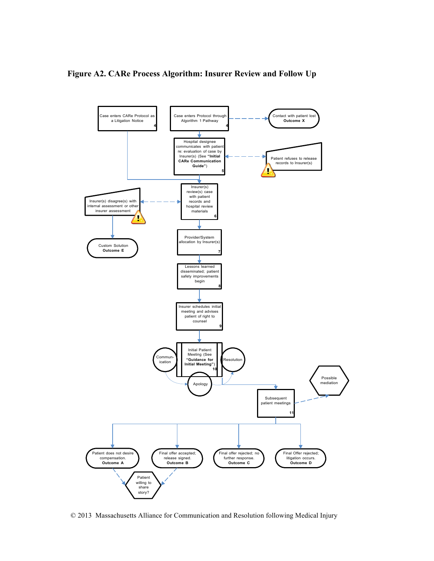#### **Figure A2. CARe Process Algorithm: Insurer Review and Follow Up**



© 2013 Massachusetts Alliance for Communication and Resolution following Medical Injury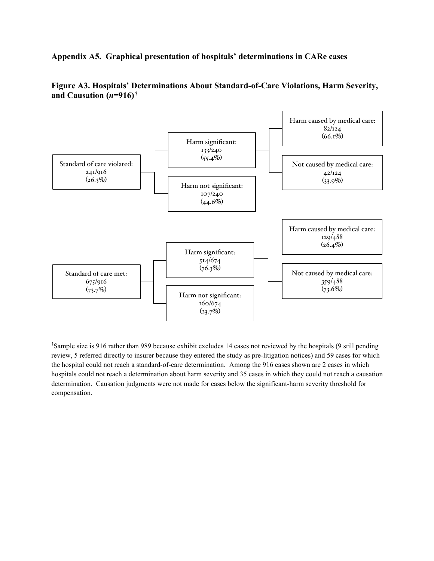### **Appendix A5. Graphical presentation of hospitals' determinations in CARe cases**





† Sample size is 916 rather than 989 because exhibit excludes 14 cases not reviewed by the hospitals (9 still pending review, 5 referred directly to insurer because they entered the study as pre-litigation notices) and 59 cases for which the hospital could not reach a standard-of-care determination. Among the 916 cases shown are 2 cases in which hospitals could not reach a determination about harm severity and 35 cases in which they could not reach a causation determination. Causation judgments were not made for cases below the significant-harm severity threshold for compensation.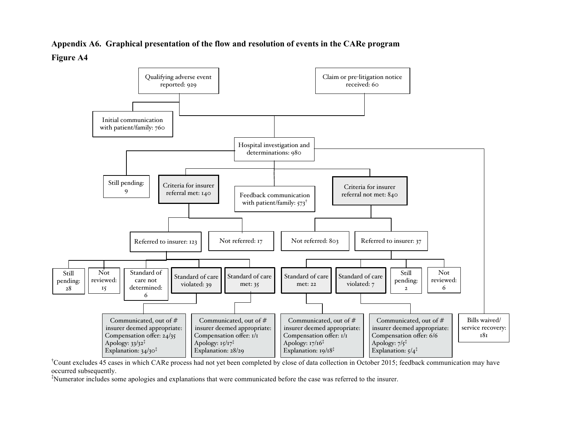





† Count excludes 45 cases in which CARe process had not yet been completed by close of data collection in October 2015; feedback communication may have occurred subsequently.

‡ Numerator includes some apologies and explanations that were communicated before the case was referred to the insurer.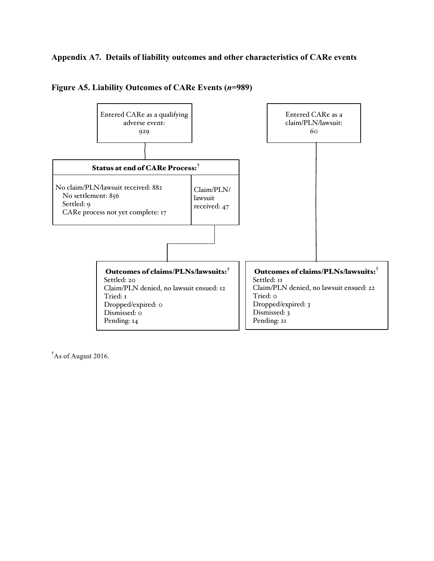# **Appendix A7. Details of liability outcomes and other characteristics of CARe events**



# **Figure A5. Liability Outcomes of CARe Events (***n***=989)**

† As of August 2016.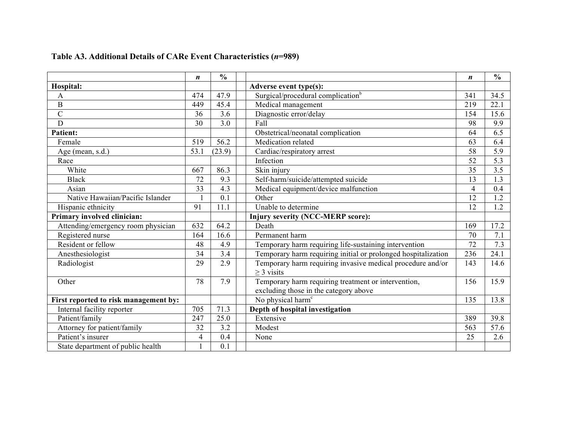|                                       | $\boldsymbol{n}$ | $\frac{0}{0}$    |                                                                                              | $\boldsymbol{n}$ | $\frac{0}{0}$ |
|---------------------------------------|------------------|------------------|----------------------------------------------------------------------------------------------|------------------|---------------|
| Hospital:                             |                  |                  | Adverse event type(s):                                                                       |                  |               |
| A                                     | 474              | 47.9             | Surgical/procedural complication <sup>b</sup>                                                | 341              | 34.5          |
| $\, {\bf B}$                          | 449              | 45.4             | Medical management                                                                           | 219              | 22.1          |
| $\overline{C}$                        | 36               | 3.6              | Diagnostic error/delay                                                                       | 154              | 15.6          |
| $\overline{D}$                        | $\overline{30}$  | $\overline{3.0}$ | Fall                                                                                         | 98               | 9.9           |
| <b>Patient:</b>                       |                  |                  | Obstetrical/neonatal complication                                                            | 64               | 6.5           |
| Female                                | 519              | 56.2             | Medication related                                                                           | 63               | 6.4           |
| Age (mean, s.d.)                      | 53.1             | (23.9)           | Cardiac/respiratory arrest                                                                   | 58               | 5.9           |
| Race                                  |                  |                  | Infection                                                                                    | 52               | 5.3           |
| White                                 | 667              | 86.3             | Skin injury                                                                                  | 35               | 3.5           |
| <b>Black</b>                          | 72               | 9.3              | Self-harm/suicide/attempted suicide                                                          | 13               | 1.3           |
| Asian                                 | 33               | 4.3              | Medical equipment/device malfunction                                                         | $\overline{4}$   | 0.4           |
| Native Hawaiian/Pacific Islander      |                  | 0.1              | Other                                                                                        | 12               | 1.2           |
| Hispanic ethnicity                    | 91               | 11.1             | Unable to determine                                                                          | 12               | 1.2           |
| Primary involved clinician:           |                  |                  | Injury severity (NCC-MERP score):                                                            |                  |               |
| Attending/emergency room physician    | 632              | 64.2             | Death                                                                                        | 169              | 17.2          |
| Registered nurse                      | 164              | 16.6             | Permanent harm                                                                               | 70               | 7.1           |
| Resident or fellow                    | 48               | 4.9              | Temporary harm requiring life-sustaining intervention                                        | 72               | 7.3           |
| Anesthesiologist                      | 34               | $\overline{3.4}$ | Temporary harm requiring initial or prolonged hospitalization                                | 236              | 24.1          |
| Radiologist                           | 29               | 2.9              | Temporary harm requiring invasive medical procedure and/or<br>$\geq$ 3 visits                | 143              | 14.6          |
| Other                                 | 78               | 7.9              | Temporary harm requiring treatment or intervention,<br>excluding those in the category above | 156              | 15.9          |
| First reported to risk management by: |                  |                  | No physical harm <sup>c</sup>                                                                | 135              | 13.8          |
| Internal facility reporter            | 705              | 71.3             | Depth of hospital investigation                                                              |                  |               |
| Patient/family                        | 247              | 25.0             | Extensive                                                                                    | 389              | 39.8          |
| Attorney for patient/family           | 32               | 3.2              | Modest                                                                                       | 563              | 57.6          |
| Patient's insurer                     | 4                | 0.4              | None                                                                                         | 25               | 2.6           |
| State department of public health     |                  | 0.1              |                                                                                              |                  |               |

# **Table A3. Additional Details of CARe Event Characteristics (***n***=989)**